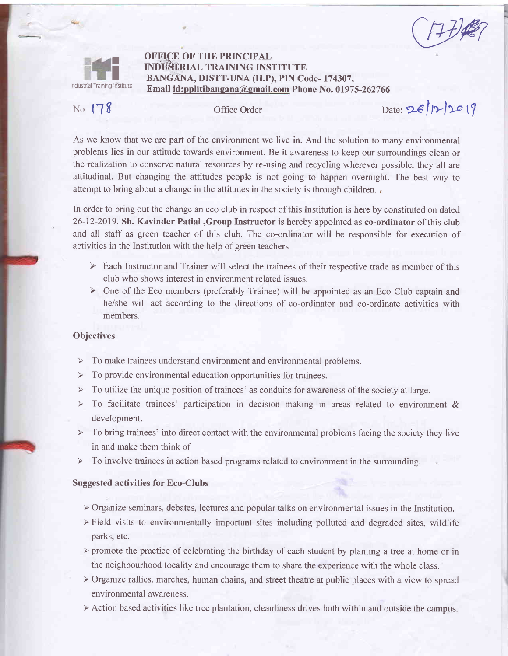$(1+t)$ 



## OFFICE OF THE PRINCIPAL INDUSTRIAL TRAINING INSTITUTE BANGANA, DISTT-UNA (H.P), PIN Code- 174307, Email id:pplitibangana@email.com Phone No. 01975-2627 66

# No  $178$

Office Order Date:  $26|12|20|9$ 

As we know that we are part of the environment we live in. And the solution to many environmental problems lies in our attitude towards environment. Be it awareness to keep our surroundings clean or the realization to conserve natural resources by re-using and recycling wherever possible, they all are attitudinal. But changing the attitudes people is not going to happen overnight. The best way to attempt to bring about a change in the attitudes in the society is through children.

In order to bring out the change an eco club in respect of this Institution is here by constituted on dated 26-12-2019. Sh. Kavinder Patial ,Group Instructor is hereby appointed as co-ordinator of this club and all staff as green teacher of this club. The co-ordinator will be responsible for execution of activities in the Institution with the help of green teachers

- > Each Instructor and Trainer will select the trainees of their respective trade as member of this club who shows interest in environment related issues.
- $\triangleright$  One of the Eco members (preferably Trainee) will be appointed as an Eco Club captain and he/she will act according to the directions of co-ordinator and co-ordinate activities with members.

### **Objectives**

- To make trainees understand environment and environmental problems.  $\prec$
- $\triangleright$  To provide environmental education opportunities for trainees.
- $\triangleright$  To utilize the unique position of trainees' as conduits for awareness of the society at large.
- $\triangleright$  To facilitate trainees' participation in decision making in areas related to environment & development.
- $\prec$ To bring trainees' into direct contact with the environmental problems facing the society they live in and make them think of
- To involve trainees in action based programs related to environment in the surrounding.

### Suggested activities for Eco-Clubs

- $\triangleright$  Organize seminars, debates, lectures and popular talks on environmental issues in the Institution.
- $\triangleright$  Field visits to environmentally important sites including polluted and degraded sites, wildlife parks, etc.
- $\triangleright$  promote the practice of celebrating the birthday of each student by planting a tree at home or in the neighbourhood locality and encourage them to share the experience with the whole class.
- ) Organize rallies, marches, human chains, and street theatre at public places with a view to spread environmental awareness.
- $\triangleright$  Action based activities like tree plantation, cleanliness drives both within and outside the campus.